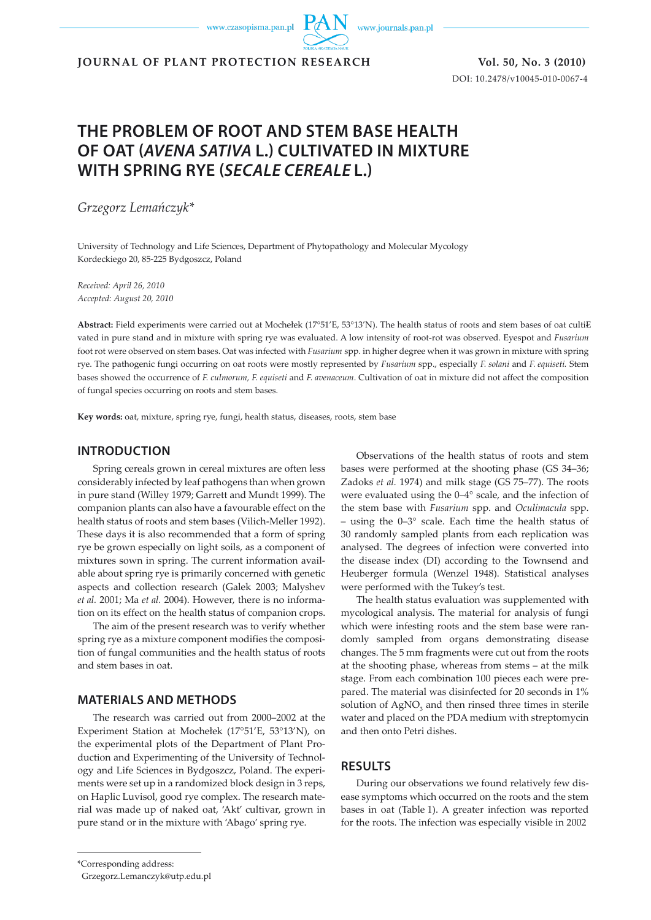www.czasopisma.pan.pl

www.journals.pan.pl

**JOURNAL OF PLANT PROTECTION RESEARCH Vol. 50, No. 3 (2010)**

DOI: 10.2478/v10045-010-0067-4

# **THE PROBLEM OF ROOT AND STEM BASE HEALTH OF OAT (***AVENA SATIVA* **L.) CULTIVATED IN MIXTURE WITH SPRING RYE (***SECALE CEREALE* **L.)**

*Grzegorz Lemańczyk\** 

University of Technology and Life Sciences, Department of Phytopathology and Molecular Mycology Kordeckiego 20, 85-225 Bydgoszcz, Poland

*Received: April 26, 2010 Accepted: August 20, 2010*

**Abstract:** Field experiments were carried out at Mochełek (17°51'E, 53°13'N). The health status of roots and stem bases of oat cultivated in pure stand and in mixture with spring rye was evaluated. A low intensity of root-rot was observed. Eyespot and *Fusarium*  foot rot were observed on stem bases. Oat was infected with *Fusarium* spp. in higher degree when it was grown in mixture with spring rye. The pathogenic fungi occurring on oat roots were mostly represented by *Fusarium* spp., especially *F. solani* and *F. equiseti.* Stem bases showed the occurrence of *F. culmorum, F. equiseti* and *F. avenaceum*. Cultivation of oat in mixture did not affect the composition of fungal species occurring on roots and stem bases.

**Key words:** oat, mixture, spring rye, fungi, health status, diseases, roots, stem base

## **INTRODUCTION**

Spring cereals grown in cereal mixtures are often less considerably infected by leaf pathogens than when grown in pure stand (Willey 1979; Garrett and Mundt 1999). The companion plants can also have a favourable effect on the health status of roots and stem bases (Vilich-Meller 1992). These days it is also recommended that a form of spring rye be grown especially on light soils, as a component of mixtures sown in spring. The current information available about spring rye is primarily concerned with genetic aspects and collection research (Galek 2003; Malyshev *et al.* 2001; Ma *et al.* 2004). However, there is no information on its effect on the health status of companion crops.

The aim of the present research was to verify whether spring rye as a mixture component modifies the composition of fungal communities and the health status of roots and stem bases in oat.

## **MATERIALS AND METHODS**

The research was carried out from 2000–2002 at the Experiment Station at Mochełek (17°51'E, 53°13'N), on the experimental plots of the Department of Plant Production and Experimenting of the University of Technology and Life Sciences in Bydgoszcz, Poland. The experiments were set up in a randomized block design in 3 reps, on Haplic Luvisol, good rye complex. The research material was made up of naked oat, 'Akt' cultivar, grown in pure stand or in the mixture with 'Abago' spring rye.

Observations of the health status of roots and stem bases were performed at the shooting phase (GS 34–36; Zadoks *et al.* 1974) and milk stage (GS 75–77). The roots were evaluated using the 0–4° scale, and the infection of the stem base with *Fusarium* spp. and *Oculimacula* spp. – using the 0–3° scale. Each time the health status of 30 randomly sampled plants from each replication was analysed. The degrees of infection were converted into the disease index (DI) according to the Townsend and Heuberger formula (Wenzel 1948). Statistical analyses were performed with the Tukey's test.

The health status evaluation was supplemented with mycological analysis. The material for analysis of fungi which were infesting roots and the stem base were randomly sampled from organs demonstrating disease changes. The 5 mm fragments were cut out from the roots at the shooting phase, whereas from stems – at the milk stage. From each combination 100 pieces each were prepared. The material was disinfected for 20 seconds in 1% solution of  $AgNO<sub>3</sub>$  and then rinsed three times in sterile water and placed on the PDA medium with streptomycin and then onto Petri dishes.

## **RESULTS**

During our observations we found relatively few disease symptoms which occurred on the roots and the stem bases in oat (Table 1). A greater infection was reported for the roots. The infection was especially visible in 2002

<sup>\*</sup>Corresponding address:

Grzegorz.Lemanczyk@utp.edu.pl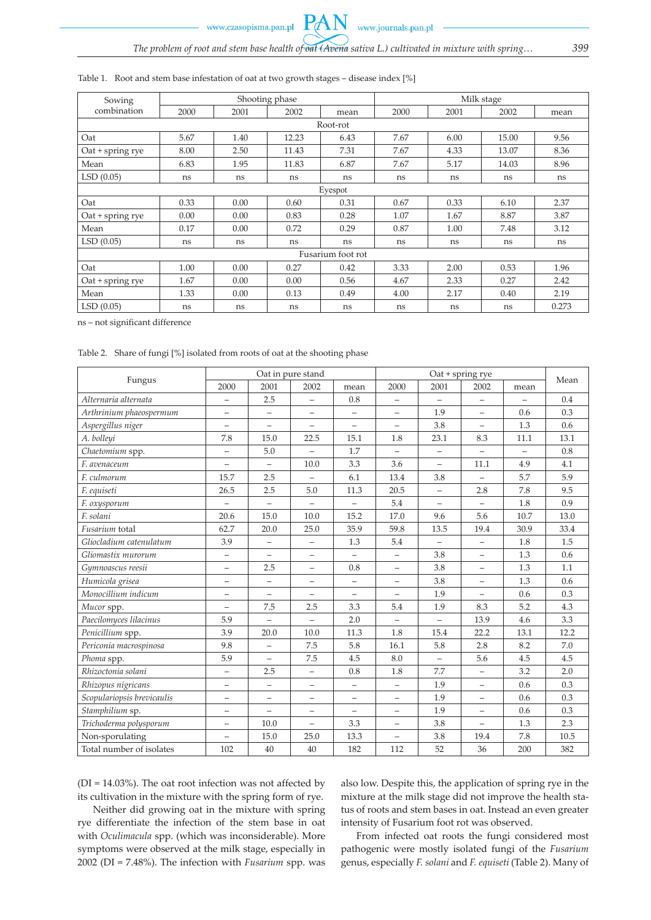www.czasopisma.pan.pl

**PAN** 

| Sowing             |      |      | Shooting phase |      | Milk stage |      |       |       |  |  |  |
|--------------------|------|------|----------------|------|------------|------|-------|-------|--|--|--|
| combination        | 2000 | 2001 | 2002           | mean | 2000       | 2001 | 2002  | mean  |  |  |  |
| Root-rot           |      |      |                |      |            |      |       |       |  |  |  |
| Oat                | 5.67 | 1.40 | 12.23          | 6.43 | 7.67       | 6.00 | 15.00 | 9.56  |  |  |  |
| $Out + spring$ rye | 8.00 | 2.50 | 11.43          | 7.31 | 7.67       | 4.33 | 13.07 | 8.36  |  |  |  |
| Mean               | 6.83 | 1.95 | 11.83          | 6.87 | 7.67       | 5.17 | 14.03 | 8.96  |  |  |  |
| LSD(0.05)          | ns   | ns   | ns             | ns   | ns         | ns   | ns    | ns    |  |  |  |
| Eyespot            |      |      |                |      |            |      |       |       |  |  |  |
| Oat                | 0.33 | 0.00 | 0.60           | 0.31 | 0.67       | 0.33 | 6.10  | 2.37  |  |  |  |
| $Out + spring$ rye | 0.00 | 0.00 | 0.83           | 0.28 | 1.07       | 1.67 | 8.87  | 3.87  |  |  |  |
| Mean               | 0.17 | 0.00 | 0.72           | 0.29 | 0.87       | 1.00 | 7.48  | 3.12  |  |  |  |
| LSD(0.05)          | ns   | ns   | ns             | ns   | ns         | ns   | ns    | ns    |  |  |  |
| Fusarium foot rot  |      |      |                |      |            |      |       |       |  |  |  |
| Oat                | 1.00 | 0.00 | 0.27           | 0.42 | 3.33       | 2.00 | 0.53  | 1.96  |  |  |  |
| $Out + spring rye$ | 1.67 | 0.00 | 0.00           | 0.56 | 4.67       | 2.33 | 0.27  | 2.42  |  |  |  |
| Mean               | 1.33 | 0.00 | 0.13           | 0.49 | 4.00       | 2.17 | 0.40  | 2.19  |  |  |  |
| LSD(0.05)          | ns   | ns   | ns             | ns   | ns         | ns   | ns    | 0.273 |  |  |  |

#### Table 1. Root and stem base infestation of oat at two growth stages – disease index [%]

ns – not significant difference

Table 2. Share of fungi [%] isolated from roots of oat at the shooting phase

|                            |                          |                          | Oat in pure stand        |                          |                          |                          |                   |           |      |
|----------------------------|--------------------------|--------------------------|--------------------------|--------------------------|--------------------------|--------------------------|-------------------|-----------|------|
| Fungus                     | 2000                     | 2001                     | 2002                     | mean                     | 2000                     | 2001                     | 2002              | mean      | Mean |
| Alternaria alternata       | $\overline{\phantom{0}}$ | 2.5                      | $\equiv$                 | 0.8                      | $\overline{\phantom{m}}$ | $\equiv$                 | $\equiv$          | L,        | 0.4  |
| Arthrinium phaeospermum    | $\overline{\phantom{0}}$ |                          | —                        | $\qquad \qquad -$        |                          | 1.9                      | $\equiv$          | 0.6       | 0.3  |
| Aspergillus niger          | $\overline{\phantom{0}}$ | $\equiv$                 | $\overline{\phantom{0}}$ | $\equiv$                 | $\equiv$                 | 3.8                      | $\equiv$          | 1.3       | 0.6  |
| A. bolleyi                 | 7.8                      | 15.0                     | 22.5                     | 15.1                     | 1.8                      | 23.1                     | 8.3               | 11.1      | 13.1 |
| Chaetomium spp.            | $\equiv$                 | 5.0                      | $\equiv$                 | 1.7                      | $\equiv$                 | $\equiv$                 | $\equiv$          | $\bar{ }$ | 0.8  |
| F. avenaceum               | $\equiv$                 | $\equiv$                 | 10.0                     | 3.3                      | 3.6                      | ÷,                       | 11.1              | 4.9       | 4.1  |
| F. culmorum                | 15.7                     | 2.5                      | $\equiv$                 | 6.1                      | 13.4                     | 3.8                      | $\equiv$          | 5.7       | 5.9  |
| F. equiseti                | 26.5                     | 2.5                      | 5.0                      | 11.3                     | 20.5                     | $\equiv$                 | 2.8               | 7.8       | 9.5  |
| F. oxysporum               | $\equiv$                 | $\equiv$                 | $\equiv$                 | $\equiv$                 | 5.4                      | $\equiv$                 | $\equiv$          | 1.8       | 0.9  |
| F. solani                  | 20.6                     | 15.0                     | 10.0                     | 15.2                     | 17.0                     | 9.6                      | 5.6               | 10.7      | 13.0 |
| Fusarium total             | 62.7                     | 20.0                     | 25.0                     | 35.9                     | 59.8                     | 13.5                     | 19.4              | 30.9      | 33.4 |
| Gliocladium catenulatum    | 3.9                      |                          | $\overline{\phantom{0}}$ | 1.3                      | 5.4                      | $\equiv$                 | $\equiv$          | 1.8       | 1.5  |
| Gliomastix murorum         | $\qquad \qquad -$        | $\overline{\phantom{m}}$ | $\overline{\phantom{m}}$ | $\overline{\phantom{m}}$ | $\overline{\phantom{0}}$ | 3.8                      | $\equiv$          | 1.3       | 0.6  |
| Gymnoascus reesii          | L,                       | 2.5                      | $\overline{\phantom{0}}$ | 0.8                      | $\equiv$                 | 3.8                      | $\equiv$          | 1.3       | 1.1  |
| Humicola grisea            | $\qquad \qquad -$        | $\qquad \qquad -$        | $\overline{\phantom{m}}$ | $\qquad \qquad -$        | $\overline{\phantom{m}}$ | 3.8                      | $\qquad \qquad -$ | 1.3       | 0.6  |
| Monocillium indicum        | $\overline{\phantom{0}}$ |                          | $\equiv$                 | $\qquad \qquad -$        |                          | 1.9                      | L,                | 0.6       | 0.3  |
| Mucor spp.                 | $\equiv$                 | 7.5                      | 2.5                      | 3.3                      | 5.4                      | 1.9                      | 8.3               | 5.2       | 4.3  |
| Paecilomyces lilacinus     | 5.9                      | $\equiv$                 | $\equiv$                 | 2.0                      | $\overline{\phantom{m}}$ | $\overline{\phantom{0}}$ | 13.9              | 4.6       | 3.3  |
| Penicillium spp.           | 3.9                      | 20.0                     | 10.0                     | 11.3                     | 1.8                      | 15.4                     | 22.2              | 13.1      | 12.2 |
| Periconia macrospinosa     | 9.8                      | $\equiv$                 | 7.5                      | 5.8                      | 16.1                     | 5.8                      | 2.8               | 8.2       | 7.0  |
| Phoma spp.                 | 5.9                      | L,                       | 7.5                      | 4.5                      | 8.0                      | ÷,                       | 5.6               | 4.5       | 4.5  |
| Rhizoctonia solani         | $\equiv$                 | 2.5                      | $\equiv$                 | 0.8                      | 1.8                      | 7.7                      | $\equiv$          | 3.2       | 2.0  |
| Rhizopus nigricans         | $\overline{\phantom{0}}$ | $\equiv$                 | $\overline{\phantom{m}}$ | $\overline{\phantom{m}}$ | $\equiv$                 | 1.9                      | $\equiv$          | 0.6       | 0.3  |
| Scopulariopsis brevicaulis | $\equiv$                 | $\overline{\phantom{m}}$ | $\overline{\phantom{m}}$ | $\qquad \qquad -$        | $\overline{\phantom{m}}$ | 1.9                      | $\equiv$          | 0.6       | 0.3  |
| Stamphilium sp.            | $\equiv$                 | $\equiv$                 | $\equiv$                 | $\overline{\phantom{0}}$ | $\overline{\phantom{0}}$ | 1.9                      | L,                | 0.6       | 0.3  |
| Trichoderma polysporum     | $\overline{\phantom{0}}$ | 10.0                     | $\overline{\phantom{0}}$ | 3.3                      | $\overline{\phantom{m}}$ | 3.8                      | $\equiv$          | 1.3       | 2.3  |
| Non-sporulating            | $\equiv$                 | 15.0                     | 25.0                     | 13.3                     | $\qquad \qquad -$        | 3.8                      | 19.4              | 7.8       | 10.5 |
| Total number of isolates   | 102                      | 40                       | 40                       | 182                      | 112                      | 52                       | 36                | 200       | 382  |

(DI = 14.03%). The oat root infection was not affected by its cultivation in the mixture with the spring form of rye.

Neither did growing oat in the mixture with spring rye differentiate the infection of the stem base in oat with *Oculimacula* spp. (which was inconsiderable). More symptoms were observed at the milk stage, especially in 2002 (DI = 7.48%). The infection with *Fusarium* spp. was also low. Despite this, the application of spring rye in the mixture at the milk stage did not improve the health status of roots and stem bases in oat. Instead an even greater intensity of Fusarium foot rot was observed.

From infected oat roots the fungi considered most pathogenic were mostly isolated fungi of the *Fusarium* genus, especially *F. solani* and *F. equiseti* (Table 2). Many of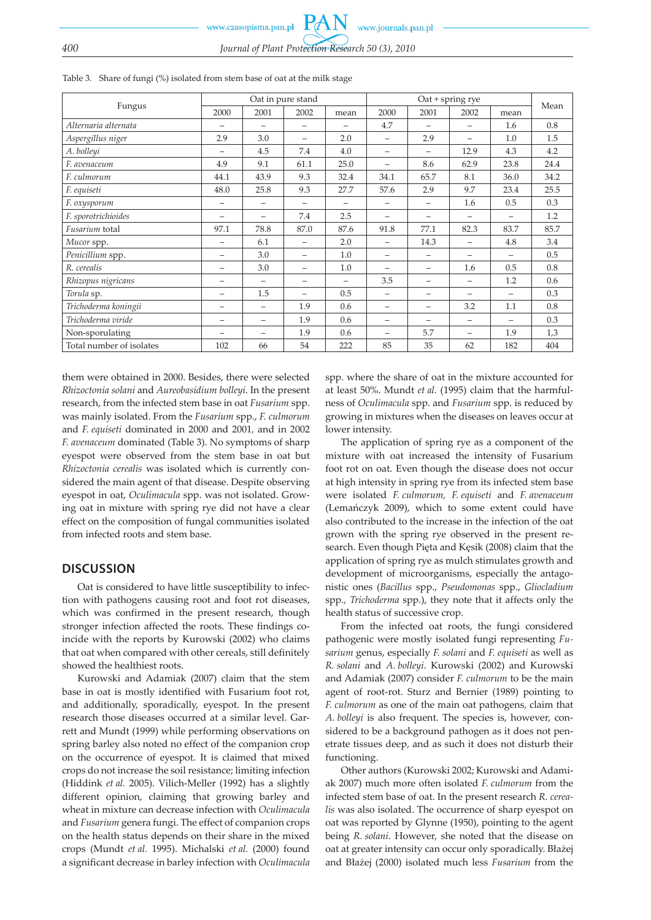|                          | Oat in pure stand        |                          |                          |                          |                          | Mean                     |          |      |      |
|--------------------------|--------------------------|--------------------------|--------------------------|--------------------------|--------------------------|--------------------------|----------|------|------|
| Fungus                   | 2000                     | 2001                     | 2002                     | mean                     | 2000                     | 2001                     | 2002     | mean |      |
| Alternaria alternata     |                          | $\overline{\phantom{0}}$ | $\overline{\phantom{0}}$ |                          | 4.7                      |                          | —        | 1.6  | 0.8  |
| Aspergillus niger        | 2.9                      | 3.0                      | $\equiv$                 | 2.0                      | $\equiv$                 | 2.9                      | $\equiv$ | 1.0  | 1.5  |
| A. bolleyi               |                          | 4.5                      | 7.4                      | 4.0                      | $\overline{\phantom{0}}$ | $\equiv$                 | 12.9     | 4.3  | 4.2  |
| F. avenaceum             | 4.9                      | 9.1                      | 61.1                     | 25.0                     | $\overline{\phantom{0}}$ | 8.6                      | 62.9     | 23.8 | 24.4 |
| F. culmorum              | 44.1                     | 43.9                     | 9.3                      | 32.4                     | 34.1                     | 65.7                     | 8.1      | 36.0 | 34.2 |
| F. equiseti              | 48.0                     | 25.8                     | 9.3                      | 27.7                     | 57.6                     | 2.9                      | 9.7      | 23.4 | 25.5 |
| F. oxysporum             | $\qquad \qquad$          | $\overline{\phantom{0}}$ | $\qquad \qquad$          |                          | $\overline{\phantom{0}}$ | $\overline{\phantom{0}}$ | 1.6      | 0.5  | 0.3  |
| F. sporotrichioides      |                          |                          | 7.4                      | 2.5                      |                          |                          |          |      | 1.2  |
| Fusarium total           | 97.1                     | 78.8                     | 87.0                     | 87.6                     | 91.8                     | 77.1                     | 82.3     | 83.7 | 85.7 |
| Mucor spp.               | -                        | 6.1                      | $\overline{\phantom{0}}$ | 2.0                      | $\overline{\phantom{0}}$ | 14.3                     | —        | 4.8  | 3.4  |
| Penicillium spp.         | $\overline{\phantom{0}}$ | 3.0                      | $\overline{\phantom{0}}$ | 1.0                      | $\overline{\phantom{0}}$ | $\overline{\phantom{0}}$ | -        |      | 0.5  |
| R. cerealis              | $\qquad \qquad$          | 3.0                      | $\overline{\phantom{0}}$ | 1.0                      | $\overline{\phantom{m}}$ | -                        | 1.6      | 0.5  | 0.8  |
| Rhizopus nigricans       | $\qquad \qquad$          | $\qquad \qquad$          | $\qquad \qquad$          | $\overline{\phantom{0}}$ | 3.5                      | $\overline{\phantom{0}}$ | -        | 1.2  | 0.6  |
| Torula sp.               | -                        | 1.5                      |                          | 0.5                      | $\overline{\phantom{0}}$ | $\overline{\phantom{0}}$ |          |      | 0.3  |
| Trichoderma koningii     | -                        | $\equiv$                 | 1.9                      | 0.6                      | $\overline{\phantom{0}}$ | $\overline{\phantom{0}}$ | 3.2      | 1.1  | 0.8  |
| Trichoderma viride       | $\overline{\phantom{0}}$ | $\overline{\phantom{0}}$ | 1.9                      | 0.6                      | $\overline{\phantom{0}}$ | $\overline{\phantom{0}}$ | -        |      | 0.3  |
| Non-sporulating          |                          | $\overline{\phantom{0}}$ | 1.9                      | 0.6                      | $\overline{\phantom{0}}$ | 5.7                      | -        | 1.9  | 1,3  |
| Total number of isolates | 102                      | 66                       | 54                       | 222                      | 85                       | 35                       | 62       | 182  | 404  |

Table 3. Share of fungi (%) isolated from stem base of oat at the milk stage

them were obtained in 2000. Besides, there were selected *Rhizoctonia solani* and *Aureobasidium bolleyi*. In the present research, from the infected stem base in oat *Fusarium* spp. was mainly isolated. From the *Fusarium* spp., *F. culmorum*  and *F. equiseti* dominated in 2000 and 2001*,* and in 2002 *F. avenaceum* dominated (Table 3). No symptoms of sharp eyespot were observed from the stem base in oat but *Rhizoctonia cerealis* was isolated which is currently considered the main agent of that disease. Despite observing eyespot in oat, *Oculimacula* spp. was not isolated. Growing oat in mixture with spring rye did not have a clear effect on the composition of fungal communities isolated from infected roots and stem base.

## **DISCUSSION**

Oat is considered to have little susceptibility to infection with pathogens causing root and foot rot diseases, which was confirmed in the present research, though stronger infection affected the roots. These findings coincide with the reports by Kurowski (2002) who claims that oat when compared with other cereals, still definitely showed the healthiest roots.

Kurowski and Adamiak (2007) claim that the stem base in oat is mostly identified with Fusarium foot rot, and additionally, sporadically, eyespot. In the present research those diseases occurred at a similar level. Garrett and Mundt (1999) while performing observations on spring barley also noted no effect of the companion crop on the occurrence of eyespot. It is claimed that mixed crops do not increase the soil resistance; limiting infection (Hiddink *et al.* 2005). Vilich-Meller (1992) has a slightly different opinion, claiming that growing barley and wheat in mixture can decrease infection with *Oculimacula* and *Fusarium* genera fungi. The effect of companion crops on the health status depends on their share in the mixed crops (Mundt *et al.* 1995). Michalski *et al.* (2000) found a significant decrease in barley infection with *Oculimacula* spp. where the share of oat in the mixture accounted for at least 50%. Mundt *et al.* (1995) claim that the harmfulness of *Oculimacula* spp. and *Fusarium* spp. is reduced by growing in mixtures when the diseases on leaves occur at lower intensity.

The application of spring rye as a component of the mixture with oat increased the intensity of Fusarium foot rot on oat. Even though the disease does not occur at high intensity in spring rye from its infected stem base were isolated *F. culmorum, F. equiseti* and *F. avenaceum* (Lemańczyk 2009), which to some extent could have also contributed to the increase in the infection of the oat grown with the spring rye observed in the present research. Even though Pięta and Kęsik (2008) claim that the application of spring rye as mulch stimulates growth and development of microorganisms, especially the antagonistic ones (*Bacillus* spp., *Pseudomonas* spp., *Gliocladium*  spp., *Trichoderma* spp.), they note that it affects only the health status of successive crop.

From the infected oat roots, the fungi considered pathogenic were mostly isolated fungi representing *Fusarium* genus, especially *F. solani* and *F. equiseti* as well as *R. solani* and *A. bolleyi*. Kurowski (2002) and Kurowski and Adamiak (2007) consider *F. culmorum* to be the main agent of root-rot. Sturz and Bernier (1989) pointing to *F. culmorum* as one of the main oat pathogens, claim that *A. bolleyi* is also frequent. The species is, however, considered to be a background pathogen as it does not penetrate tissues deep, and as such it does not disturb their functioning.

Other authors (Kurowski 2002; Kurowski and Adamiak 2007) much more often isolated *F. culmorum* from the infected stem base of oat. In the present research *R. cerealis* was also isolated. The occurrence of sharp eyespot on oat was reported by Glynne (1950), pointing to the agent being *R. solani*. However, she noted that the disease on oat at greater intensity can occur only sporadically. Błażej and Błażej (2000) isolated much less *Fusarium* from the